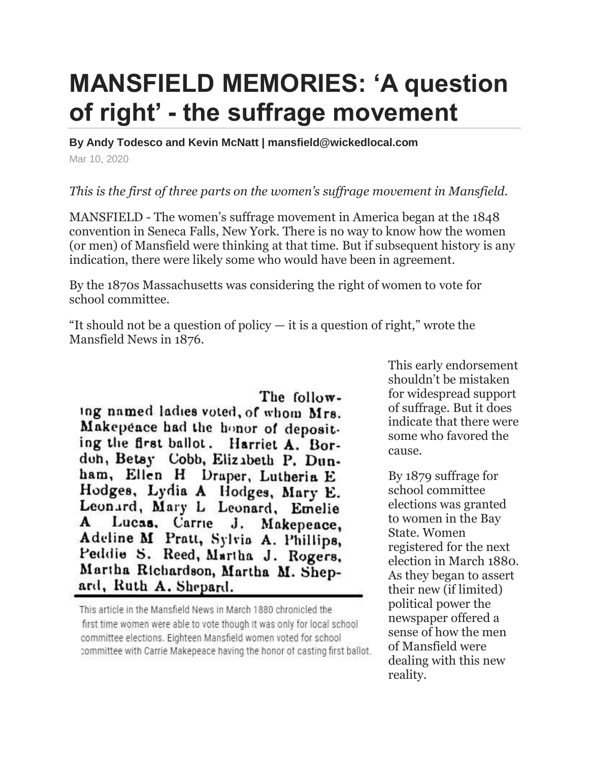## **MANSFIELD MEMORIES: 'A question of right' - the suffrage movement**

**By Andy Todesco and Kevin McNatt | mansfield@wickedlocal.com**

Mar 10, 2020

## *This is the first of three parts on the women's suffrage movement in Mansfield.*

MANSFIELD - The women's suffrage movement in America began at the 1848 convention in Seneca Falls, New York. There is no way to know how the women (or men) of Mansfield were thinking at that time. But if subsequent history is any indication, there were likely some who would have been in agreement.

By the 1870s Massachusetts was considering the right of women to vote for school committee.

"It should not be a question of policy  $-$  it is a question of right," wrote the Mansfield News in 1876.

The following named ladies voted, of whom Mrs. Makepeace had the honor of depositing the first ballot. Harriet A. Bordon, Betsy Cobb, Elizabeth P. Dunham, Ellen H Draper, Lutheria E Hodges, Lydia A Hodges, Mary E. Leonard, Mary L Leonard, Emelie Lucas, Carrie J. Makepeace, A Adeline M Pratt, Sylvia A. Phillips. Peddie S. Reed, Martha J. Rogers. Martha Richardson, Martha M. Shepard, Ruth A. Shepard.

This article in the Mansfield News in March 1880 chronicled the first time women were able to vote though it was only for local school committee elections. Eighteen Mansfield women voted for school committee with Carrie Makepeace having the honor of casting first ballot.

This early endorsement shouldn't be mistaken for widespread support of suffrage. But it does indicate that there were some who favored the cause.

By 1879 suffrage for school committee elections was granted to women in the Bay State. Women registered for the next election in March 1880. As they began to assert their new (if limited) political power the newspaper offered a sense of how the men of Mansfield were dealing with this new reality.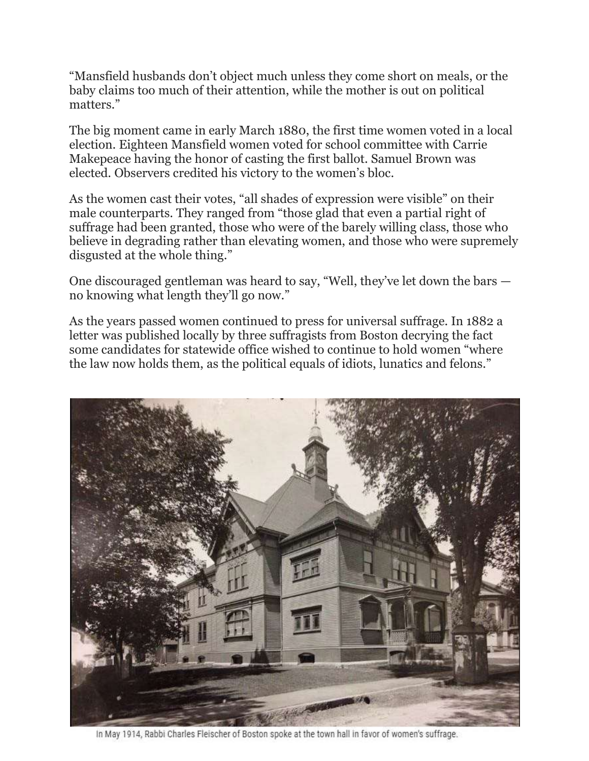"Mansfield husbands don't object much unless they come short on meals, or the baby claims too much of their attention, while the mother is out on political matters."

The big moment came in early March 1880, the first time women voted in a local election. Eighteen Mansfield women voted for school committee with Carrie Makepeace having the honor of casting the first ballot. Samuel Brown was elected. Observers credited his victory to the women's bloc.

As the women cast their votes, "all shades of expression were visible" on their male counterparts. They ranged from "those glad that even a partial right of suffrage had been granted, those who were of the barely willing class, those who believe in degrading rather than elevating women, and those who were supremely disgusted at the whole thing."

One discouraged gentleman was heard to say, "Well, they've let down the bars no knowing what length they'll go now."

As the years passed women continued to press for universal suffrage. In 1882 a letter was published locally by three suffragists from Boston decrying the fact some candidates for statewide office wished to continue to hold women "where the law now holds them, as the political equals of idiots, lunatics and felons."



In May 1914, Rabbi Charles Fleischer of Boston spoke at the town hall in favor of women's suffrage.